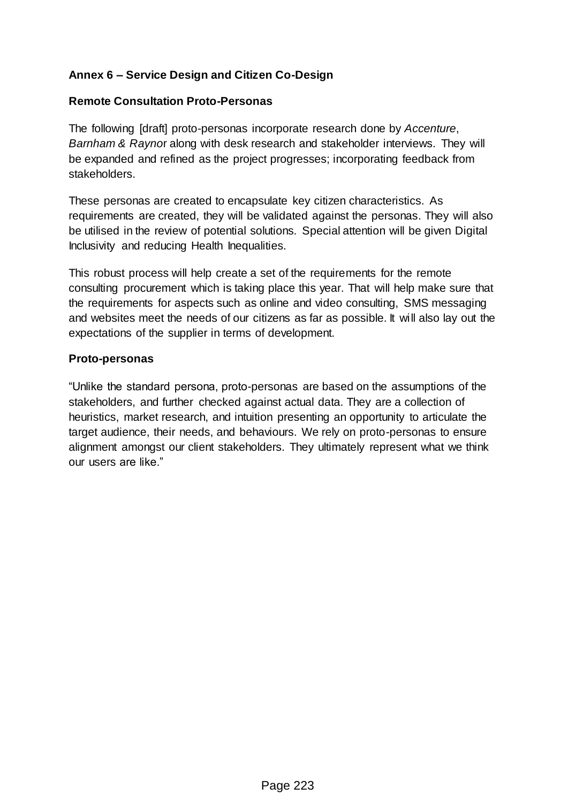## **Annex 6 – Service Design and Citizen Co-Design**

## **Remote Consultation Proto-Personas**

The following [draft] proto-personas incorporate research done by *Accenture*, *Barnham & Rayno*r along with desk research and stakeholder interviews. They will be expanded and refined as the project progresses; incorporating feedback from stakeholders.

These personas are created to encapsulate key citizen characteristics. As requirements are created, they will be validated against the personas. They will also be utilised in the review of potential solutions. Special attention will be given Digital Inclusivity and reducing Health Inequalities.

This robust process will help create a set of the requirements for the remote consulting procurement which is taking place this year. That will help make sure that the requirements for aspects such as online and video consulting, SMS messaging and websites meet the needs of our citizens as far as possible. It will also lay out the expectations of the supplier in terms of development.

## **Proto-personas**

"Unlike the standard persona, proto-personas are based on the assumptions of the stakeholders, and further checked against actual data. They are a collection of heuristics, market research, and intuition presenting an opportunity to articulate the target audience, their needs, and behaviours. We rely on proto-personas to ensure alignment amongst our client stakeholders. They ultimately represent what we think our users are like."